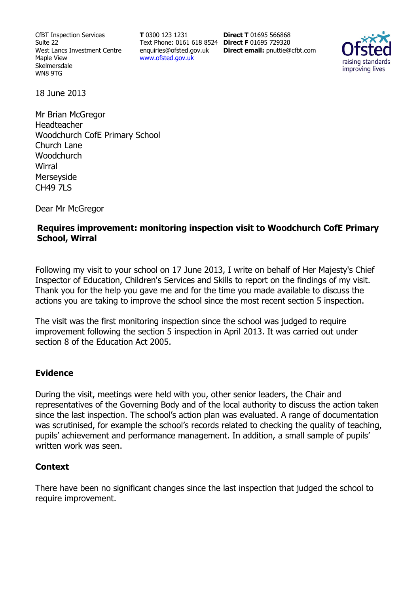CfBT Inspection Services Suite 22 West Lancs Investment Centre Maple View Skelmersdale WN8 9TG

**T** 0300 123 1231 Text Phone: 0161 618 8524 **Direct F** 01695 729320 enquiries@ofsted.gov.uk www.ofsted.gov.uk

**Direct T** 01695 566868 **Direct email:** pnuttie@cfbt.com



18 June 2013

Mr Brian McGregor Headteacher Woodchurch CofE Primary School Church Lane **Woodchurch Wirral** Merseyside CH49 7LS

Dear Mr McGregor

## **Requires improvement: monitoring inspection visit to Woodchurch CofE Primary School, Wirral**

Following my visit to your school on 17 June 2013, I write on behalf of Her Majesty's Chief Inspector of Education, Children's Services and Skills to report on the findings of my visit. Thank you for the help you gave me and for the time you made available to discuss the actions you are taking to improve the school since the most recent section 5 inspection.

The visit was the first monitoring inspection since the school was judged to require improvement following the section 5 inspection in April 2013. It was carried out under section 8 of the Education Act 2005.

#### **Evidence**

During the visit, meetings were held with you, other senior leaders, the Chair and representatives of the Governing Body and of the local authority to discuss the action taken since the last inspection. The school's action plan was evaluated. A range of documentation was scrutinised, for example the school's records related to checking the quality of teaching, pupils' achievement and performance management. In addition, a small sample of pupils' written work was seen.

#### **Context**

There have been no significant changes since the last inspection that judged the school to require improvement.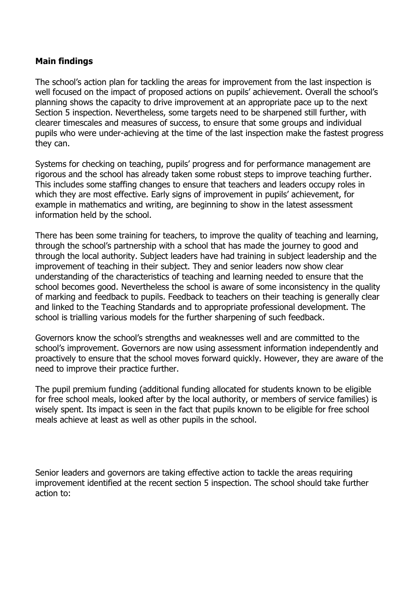## **Main findings**

The school's action plan for tackling the areas for improvement from the last inspection is well focused on the impact of proposed actions on pupils' achievement. Overall the school's planning shows the capacity to drive improvement at an appropriate pace up to the next Section 5 inspection. Nevertheless, some targets need to be sharpened still further, with clearer timescales and measures of success, to ensure that some groups and individual pupils who were under-achieving at the time of the last inspection make the fastest progress they can.

Systems for checking on teaching, pupils' progress and for performance management are rigorous and the school has already taken some robust steps to improve teaching further. This includes some staffing changes to ensure that teachers and leaders occupy roles in which they are most effective. Early signs of improvement in pupils' achievement, for example in mathematics and writing, are beginning to show in the latest assessment information held by the school.

There has been some training for teachers, to improve the quality of teaching and learning, through the school's partnership with a school that has made the journey to good and through the local authority. Subject leaders have had training in subject leadership and the improvement of teaching in their subject. They and senior leaders now show clear understanding of the characteristics of teaching and learning needed to ensure that the school becomes good. Nevertheless the school is aware of some inconsistency in the quality of marking and feedback to pupils. Feedback to teachers on their teaching is generally clear and linked to the Teaching Standards and to appropriate professional development. The school is trialling various models for the further sharpening of such feedback.

Governors know the school's strengths and weaknesses well and are committed to the school's improvement. Governors are now using assessment information independently and proactively to ensure that the school moves forward quickly. However, they are aware of the need to improve their practice further.

The pupil premium funding (additional funding allocated for students known to be eligible for free school meals, looked after by the local authority, or members of service families) is wisely spent. Its impact is seen in the fact that pupils known to be eligible for free school meals achieve at least as well as other pupils in the school.

Senior leaders and governors are taking effective action to tackle the areas requiring improvement identified at the recent section 5 inspection. The school should take further action to: